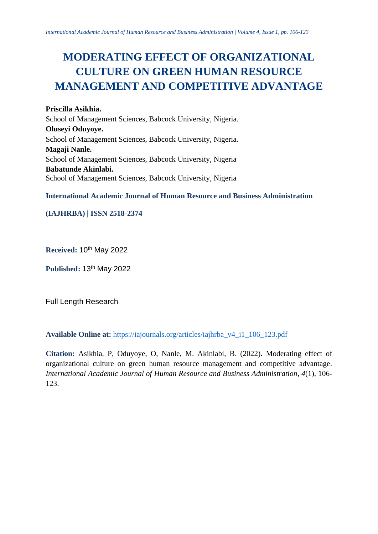# **MODERATING EFFECT OF ORGANIZATIONAL CULTURE ON GREEN HUMAN RESOURCE MANAGEMENT AND COMPETITIVE ADVANTAGE**

**Priscilla Asikhia.** School of Management Sciences, Babcock University, Nigeria. **Oluseyi Oduyoye.** School of Management Sciences, Babcock University, Nigeria. **Magaji Nanle.** School of Management Sciences, Babcock University, Nigeria **Babatunde Akinlabi.** School of Management Sciences, Babcock University, Nigeria

**International Academic Journal of Human Resource and Business Administration**

# **(IAJHRBA) | ISSN 2518-2374**

**Received:** 10th May 2022

**Published:** 13th May 2022

Full Length Research

**Available Online at:** [https://iajournals.org/articles/iajhrba\\_v4\\_i1\\_106\\_123.pdf](https://iajournals.org/articles/iajhrba_v4_i1_106_123.pdf)

**Citation:** Asikhia, P, Oduyoye, O, Nanle, M. Akinlabi, B. (2022). Moderating effect of organizational culture on green human resource management and competitive advantage. *International Academic Journal of Human Resource and Business Administration, 4*(1), 106- 123.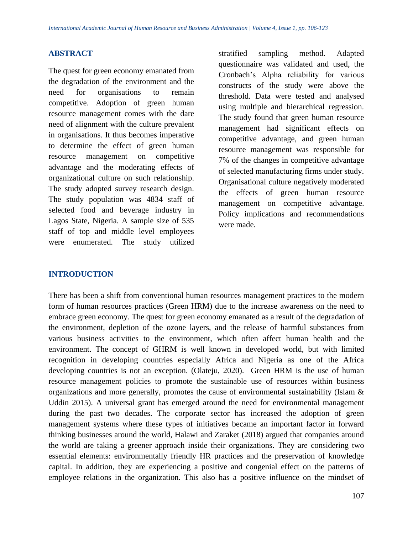#### **ABSTRACT**

The quest for green economy emanated from the degradation of the environment and the need for organisations to remain competitive. Adoption of green human resource management comes with the dare need of alignment with the culture prevalent in organisations. It thus becomes imperative to determine the effect of green human resource management on competitive advantage and the moderating effects of organizational culture on such relationship. The study adopted survey research design. The study population was 4834 staff of selected food and beverage industry in Lagos State, Nigeria. A sample size of 535 staff of top and middle level employees were enumerated. The study utilized

stratified sampling method. Adapted questionnaire was validated and used, the Cronbach's Alpha reliability for various constructs of the study were above the threshold. Data were tested and analysed using multiple and hierarchical regression. The study found that green human resource management had significant effects on competitive advantage, and green human resource management was responsible for 7% of the changes in competitive advantage of selected manufacturing firms under study. Organisational culture negatively moderated the effects of green human resource management on competitive advantage. Policy implications and recommendations were made.

#### **INTRODUCTION**

There has been a shift from conventional human resources management practices to the modern form of human resources practices (Green HRM) due to the increase awareness on the need to embrace green economy. The quest for green economy emanated as a result of the degradation of the environment, depletion of the ozone layers, and the release of harmful substances from various business activities to the environment, which often affect human health and the environment. The concept of GHRM is well known in developed world, but with limited recognition in developing countries especially Africa and Nigeria as one of the Africa developing countries is not an exception. (Olateju, 2020). Green HRM is the use of human resource management policies to promote the sustainable use of resources within business organizations and more generally, promotes the cause of environmental sustainability (Islam & Uddin 2015). A universal grant has emerged around the need for environmental management during the past two decades. The corporate sector has increased the adoption of green management systems where these types of initiatives became an important factor in forward thinking businesses around the world, Halawi and Zaraket (2018) argued that companies around the world are taking a greener approach inside their organizations. They are considering two essential elements: environmentally friendly HR practices and the preservation of knowledge capital. In addition, they are experiencing a positive and congenial effect on the patterns of employee relations in the organization. This also has a positive influence on the mindset of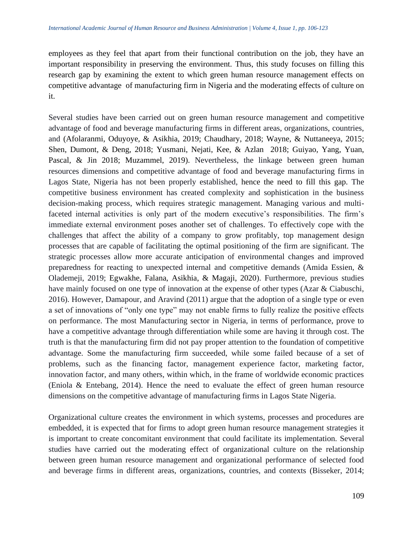employees as they feel that apart from their functional contribution on the job, they have an important responsibility in preserving the environment. Thus, this study focuses on filling this research gap by examining the extent to which green human resource management effects on competitive advantage of manufacturing firm in Nigeria and the moderating effects of culture on it.

Several studies have been carried out on green human resource management and competitive advantage of food and beverage manufacturing firms in different areas, organizations, countries, and (Afolaranmi, Oduyoye, & Asikhia, 2019; Chaudhary, 2018; Wayne, & Nuttaneeya, 2015; Shen, Dumont, & Deng, 2018; Yusmani, Nejati, Kee, & Azlan 2018; Guiyao, Yang, Yuan, Pascal, & Jin 2018; Muzammel, 2019). Nevertheless, the linkage between green human resources dimensions and competitive advantage of food and beverage manufacturing firms in Lagos State, Nigeria has not been properly established, hence the need to fill this gap. The competitive business environment has created complexity and sophistication in the business decision-making process, which requires strategic management. Managing various and multifaceted internal activities is only part of the modern executive's responsibilities. The firm's immediate external environment poses another set of challenges. To effectively cope with the challenges that affect the ability of a company to grow profitably, top management design processes that are capable of facilitating the optimal positioning of the firm are significant. The strategic processes allow more accurate anticipation of environmental changes and improved preparedness for reacting to unexpected internal and competitive demands (Amida Essien, & Olademeji, 2019; Egwakhe, Falana, Asikhia, & Magaji, 2020). Furthermore, previous studies have mainly focused on one type of innovation at the expense of other types (Azar & Ciabuschi, 2016). However, Damapour, and Aravind (2011) argue that the adoption of a single type or even a set of innovations of "only one type" may not enable firms to fully realize the positive effects on performance. The most Manufacturing sector in Nigeria, in terms of performance, prove to have a competitive advantage through differentiation while some are having it through cost. The truth is that the manufacturing firm did not pay proper attention to the foundation of competitive advantage. Some the manufacturing firm succeeded, while some failed because of a set of problems, such as the financing factor, management experience factor, marketing factor, innovation factor, and many others, within which, in the frame of worldwide economic practices (Eniola & Entebang, 2014). Hence the need to evaluate the effect of green human resource dimensions on the competitive advantage of manufacturing firms in Lagos State Nigeria.

Organizational culture creates the environment in which systems, processes and procedures are embedded, it is expected that for firms to adopt green human resource management strategies it is important to create concomitant environment that could facilitate its implementation. Several studies have carried out the moderating effect of organizational culture on the relationship between green human resource management and organizational performance of selected food and beverage firms in different areas, organizations, countries, and contexts (Bisseker, 2014;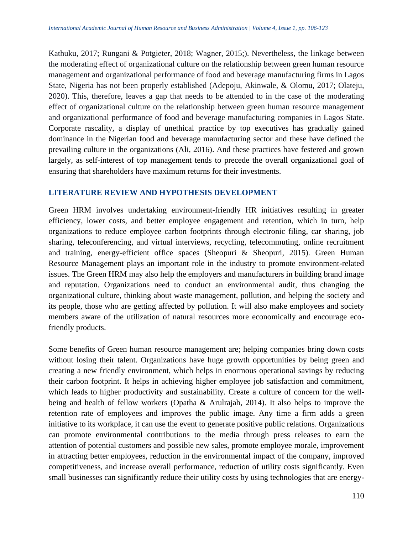Kathuku, 2017; Rungani & Potgieter, 2018; Wagner, 2015;). Nevertheless, the linkage between the moderating effect of organizational culture on the relationship between green human resource management and organizational performance of food and beverage manufacturing firms in Lagos State, Nigeria has not been properly established (Adepoju, Akinwale, & Olomu, 2017; Olateju, 2020). This, therefore, leaves a gap that needs to be attended to in the case of the moderating effect of organizational culture on the relationship between green human resource management and organizational performance of food and beverage manufacturing companies in Lagos State. Corporate rascality, a display of unethical practice by top executives has gradually gained dominance in the Nigerian food and beverage manufacturing sector and these have defined the prevailing culture in the organizations (Ali, 2016). And these practices have festered and grown largely, as self-interest of top management tends to precede the overall organizational goal of ensuring that shareholders have maximum returns for their investments.

#### **LITERATURE REVIEW AND HYPOTHESIS DEVELOPMENT**

Green HRM involves undertaking environment-friendly HR initiatives resulting in greater efficiency, lower costs, and better employee engagement and retention, which in turn, help organizations to reduce employee carbon footprints through electronic filing, car sharing, job sharing, teleconferencing, and virtual interviews, recycling, telecommuting, online recruitment and training, energy-efficient office spaces (Sheopuri & Sheopuri, 2015). Green Human Resource Management plays an important role in the industry to promote environment-related issues. The Green HRM may also help the employers and manufacturers in building brand image and reputation. Organizations need to conduct an environmental audit, thus changing the organizational culture, thinking about waste management, pollution, and helping the society and its people, those who are getting affected by pollution. It will also make employees and society members aware of the utilization of natural resources more economically and encourage ecofriendly products.

Some benefits of Green human resource management are; helping companies bring down costs without losing their talent. Organizations have huge growth opportunities by being green and creating a new friendly environment, which helps in enormous operational savings by reducing their carbon footprint. It helps in achieving higher employee job satisfaction and commitment, which leads to higher productivity and sustainability. Create a culture of concern for the wellbeing and health of fellow workers (Opatha & Arulrajah, 2014). It also helps to improve the retention rate of employees and improves the public image. Any time a firm adds a green initiative to its workplace, it can use the event to generate positive public relations. Organizations can promote environmental contributions to the media through press releases to earn the attention of potential customers and possible new sales, promote employee morale, improvement in attracting better employees, reduction in the environmental impact of the company, improved competitiveness, and increase overall performance, reduction of utility costs significantly. Even small businesses can significantly reduce their utility costs by using technologies that are energy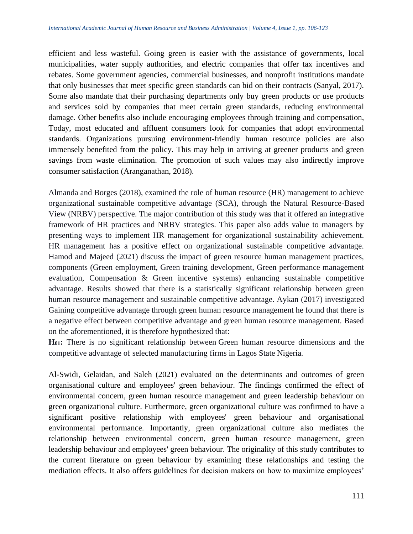efficient and less wasteful. Going green is easier with the assistance of governments, local municipalities, water supply authorities, and electric companies that offer tax incentives and rebates. Some government agencies, commercial businesses, and nonprofit institutions mandate that only businesses that meet specific green standards can bid on their contracts (Sanyal, 2017). Some also mandate that their purchasing departments only buy green products or use products and services sold by companies that meet certain green standards, reducing environmental damage. Other benefits also include encouraging employees through training and compensation, Today, most educated and affluent consumers look for companies that adopt environmental standards. Organizations pursuing environment-friendly human resource policies are also immensely benefited from the policy. This may help in arriving at greener products and green savings from waste elimination. The promotion of such values may also indirectly improve consumer satisfaction (Aranganathan, 2018).

Almanda and Borges (2018), examined the role of human resource (HR) management to achieve organizational sustainable competitive advantage (SCA), through the Natural Resource-Based View (NRBV) perspective. The major contribution of this study was that it offered an integrative framework of HR practices and NRBV strategies. This paper also adds value to managers by presenting ways to implement HR management for organizational sustainability achievement. HR management has a positive effect on organizational sustainable competitive advantage. Hamod and Majeed (2021) discuss the impact of green resource human management practices, components (Green employment, Green training development, Green performance management evaluation, Compensation & Green incentive systems) enhancing sustainable competitive advantage. Results showed that there is a statistically significant relationship between green human resource management and sustainable competitive advantage. Aykan (2017) investigated Gaining competitive advantage through green human resource management he found that there is a negative effect between competitive advantage and green human resource management. Based on the aforementioned, it is therefore hypothesized that:

**H01:** There is no significant relationship between Green human resource dimensions and the competitive advantage of selected manufacturing firms in Lagos State Nigeria*.*

Al-Swidi, Gelaidan, and Saleh (2021) evaluated on the determinants and outcomes of green organisational culture and employees' green behaviour. The findings confirmed the effect of environmental concern, green human resource management and green leadership behaviour on green organizational culture. Furthermore, green organizational culture was confirmed to have a significant positive relationship with employees' green behaviour and organisational environmental performance. Importantly, green organizational culture also mediates the relationship between environmental concern, green human resource management, green leadership behaviour and employees' green behaviour. The originality of this study contributes to the current literature on green behaviour by examining these relationships and testing the mediation effects. It also offers guidelines for decision makers on how to maximize employees'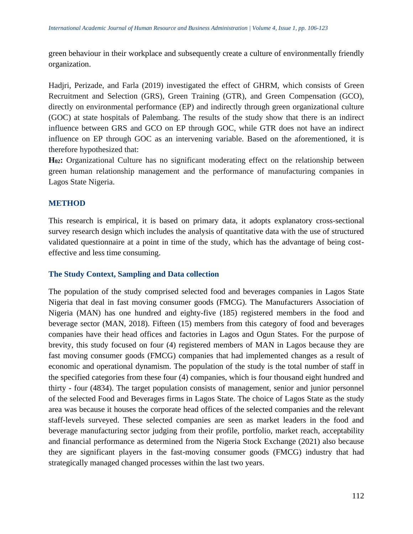green behaviour in their workplace and subsequently create a culture of environmentally friendly organization.

Hadjri, Perizade, and Farla (2019) investigated the effect of GHRM, which consists of Green Recruitment and Selection (GRS), Green Training (GTR), and Green Compensation (GCO), directly on environmental performance (EP) and indirectly through green organizational culture (GOC) at state hospitals of Palembang. The results of the study show that there is an indirect influence between GRS and GCO on EP through GOC, while GTR does not have an indirect influence on EP through GOC as an intervening variable. Based on the aforementioned, it is therefore hypothesized that:

**H02:** Organizational Culture has no significant moderating effect on the relationship between green human relationship management and the performance of manufacturing companies in Lagos State Nigeria.

## **METHOD**

This research is empirical, it is based on primary data, it adopts explanatory cross-sectional survey research design which includes the analysis of quantitative data with the use of structured validated questionnaire at a point in time of the study, which has the advantage of being costeffective and less time consuming.

#### **The Study Context, Sampling and Data collection**

The population of the study comprised selected food and beverages companies in Lagos State Nigeria that deal in fast moving consumer goods (FMCG). The Manufacturers Association of Nigeria (MAN) has one hundred and eighty-five (185) registered members in the food and beverage sector (MAN, 2018). Fifteen (15) members from this category of food and beverages companies have their head offices and factories in Lagos and Ogun States. For the purpose of brevity, this study focused on four (4) registered members of MAN in Lagos because they are fast moving consumer goods (FMCG) companies that had implemented changes as a result of economic and operational dynamism. The population of the study is the total number of staff in the specified categories from these four (4) companies, which is four thousand eight hundred and thirty - four (4834). The target population consists of management, senior and junior personnel of the selected Food and Beverages firms in Lagos State. The choice of Lagos State as the study area was because it houses the corporate head offices of the selected companies and the relevant staff-levels surveyed. These selected companies are seen as market leaders in the food and beverage manufacturing sector judging from their profile, portfolio, market reach, acceptability and financial performance as determined from the Nigeria Stock Exchange (2021) also because they are significant players in the fast-moving consumer goods (FMCG) industry that had strategically managed changed processes within the last two years.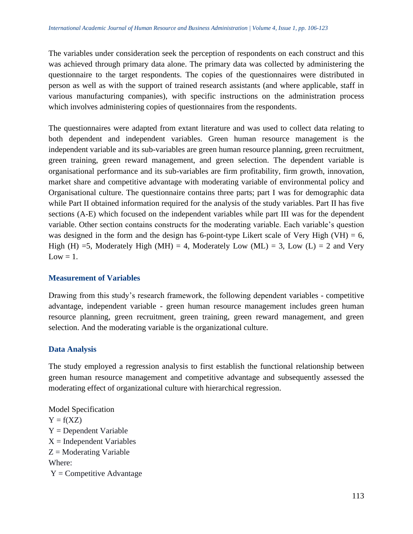The variables under consideration seek the perception of respondents on each construct and this was achieved through primary data alone. The primary data was collected by administering the questionnaire to the target respondents. The copies of the questionnaires were distributed in person as well as with the support of trained research assistants (and where applicable, staff in various manufacturing companies), with specific instructions on the administration process which involves administering copies of questionnaires from the respondents.

The questionnaires were adapted from extant literature and was used to collect data relating to both dependent and independent variables. Green human resource management is the independent variable and its sub-variables are green human resource planning, green recruitment, green training, green reward management, and green selection. The dependent variable is organisational performance and its sub-variables are firm profitability, firm growth, innovation, market share and competitive advantage with moderating variable of environmental policy and Organisational culture. The questionnaire contains three parts; part I was for demographic data while Part II obtained information required for the analysis of the study variables. Part II has five sections (A-E) which focused on the independent variables while part III was for the dependent variable. Other section contains constructs for the moderating variable. Each variable's question was designed in the form and the design has 6-point-type Likert scale of Very High (VH) = 6, High (H) =5, Moderately High (MH) = 4, Moderately Low (ML) = 3, Low (L) = 2 and Very  $Low = 1$ .

#### **Measurement of Variables**

Drawing from this study's research framework, the following dependent variables - competitive advantage, independent variable - green human resource management includes green human resource planning, green recruitment, green training, green reward management, and green selection. And the moderating variable is the organizational culture.

#### **Data Analysis**

The study employed a regression analysis to first establish the functional relationship between green human resource management and competitive advantage and subsequently assessed the moderating effect of organizational culture with hierarchical regression.

Model Specification  $Y = f(XZ)$ Y = Dependent Variable  $X =$ Independent Variables  $Z =$ Moderating Variable Where:  $Y =$  Competitive Advantage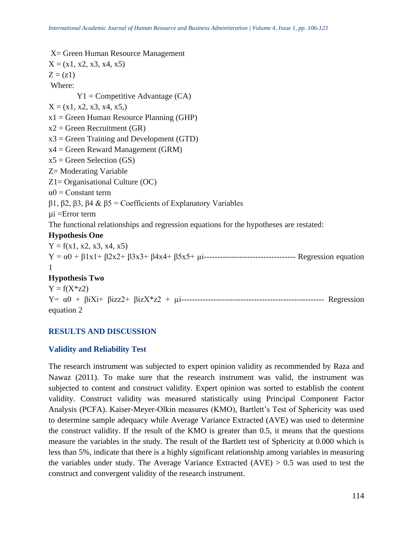```
X= Green Human Resource Management
X = (x1, x2, x3, x4, x5)Z = (z1)Where:
        Y1 = Competitive Advantage (CA)
X = (x1, x2, x3, x4, x5)x1 = Green Human Resource Planning (GHP)
x2 = Green Recruitment (GR)
x3 = Green Training and Development (GTD)
x4 = Green Reward Management (GRM)
x5 = Green Selection (GS)
Z= Moderating Variable
Z1= Organisational Culture (OC)
\alpha0 = Constant term
β1, β2, β3, β4 & β5 = Coefficients of Explanatory Variables
µi =Error term
The functional relationships and regression equations for the hypotheses are restated:
Hypothesis One
Y = f(x1, x2, x3, x4, x5)Y = α0 + β1x1+ β2x2+ β3x3+ β4x4+ β5x5+ µi---------------------------------- Regression equation 
1
Hypothesis Two
Y = f(X * z2)Y= α0 + βiXi+ βizz2+ βizX*z2 + µi----------------------------------------------------- Regression 
equation 2
```
#### **RESULTS AND DISCUSSION**

#### **Validity and Reliability Test**

The research instrument was subjected to expert opinion validity as recommended by Raza and Nawaz (2011). To make sure that the research instrument was valid, the instrument was subjected to content and construct validity. Expert opinion was sorted to establish the content validity. Construct validity was measured statistically using Principal Component Factor Analysis (PCFA). Kaiser-Meyer-Olkin measures (KMO), Bartlett's Test of Sphericity was used to determine sample adequacy while Average Variance Extracted (AVE) was used to determine the construct validity. If the result of the KMO is greater than 0.5, it means that the questions measure the variables in the study. The result of the Bartlett test of Sphericity at 0.000 which is less than 5%, indicate that there is a highly significant relationship among variables in measuring the variables under study. The Average Variance Extracted  $(AVE) > 0.5$  was used to test the construct and convergent validity of the research instrument.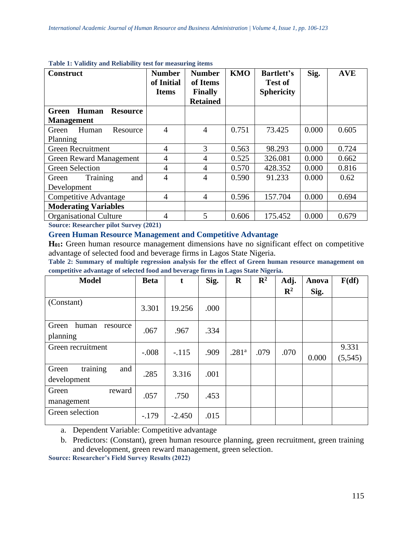| <b>Construct</b>                         | <b>Number</b><br>of Initial<br><b>Items</b> | <b>Number</b><br>of Items<br><b>Finally</b><br><b>Retained</b> | <b>KMO</b> | <b>Bartlett's</b><br><b>Test of</b><br><b>Sphericity</b> | Sig.  | <b>AVE</b> |  |  |
|------------------------------------------|---------------------------------------------|----------------------------------------------------------------|------------|----------------------------------------------------------|-------|------------|--|--|
| Human<br><b>Resource</b><br><b>Green</b> |                                             |                                                                |            |                                                          |       |            |  |  |
| <b>Management</b>                        |                                             |                                                                |            |                                                          |       |            |  |  |
| Human<br>Green<br>Resource               | $\overline{4}$                              | 4                                                              | 0.751      | 73.425                                                   | 0.000 | 0.605      |  |  |
| Planning                                 |                                             |                                                                |            |                                                          |       |            |  |  |
| <b>Green Recruitment</b>                 | 4                                           | 3                                                              | 0.563      | 98.293                                                   | 0.000 | 0.724      |  |  |
| <b>Green Reward Management</b>           | $\overline{4}$                              | 4                                                              | 0.525      | 326.081                                                  | 0.000 | 0.662      |  |  |
| <b>Green Selection</b>                   | 4                                           | 4                                                              | 0.570      | 428.352                                                  | 0.000 | 0.816      |  |  |
| Training<br>and<br>Green                 | $\overline{4}$                              | 4                                                              | 0.590      | 91.233                                                   | 0.000 | 0.62       |  |  |
| Development                              |                                             |                                                                |            |                                                          |       |            |  |  |
| <b>Competitive Advantage</b>             | $\overline{4}$                              | 4                                                              | 0.596      | 157.704                                                  | 0.000 | 0.694      |  |  |
| <b>Moderating Variables</b>              |                                             |                                                                |            |                                                          |       |            |  |  |
| <b>Organisational Culture</b>            | 4<br>$\lambda$ and $\lambda$ and $\lambda$  | 5                                                              | 0.606      | 175.452                                                  | 0.000 | 0.679      |  |  |

#### **Table 1: Validity and Reliability test for measuring items**

**Source: Researcher pilot Survey (2021)**

#### **Green Human Resource Management and Competitive Advantage**

**H01:** Green human resource management dimensions have no significant effect on competitive advantage of selected food and beverage firms in Lagos State Nigeria.

**Table 2: Summary of multiple regression analysis for the effect of Green human resource management on competitive advantage of selected food and beverage firms in Lagos State Nigeria.**

| <b>Model</b>                            | <b>Beta</b> | t        | Sig. | $\mathbf R$       | $\mathbf{R}^2$ | Adj.<br>$\mathbf{R}^2$ | Anova<br>Sig. | F(df)             |
|-----------------------------------------|-------------|----------|------|-------------------|----------------|------------------------|---------------|-------------------|
| (Constant)                              | 3.301       | 19.256   | .000 |                   |                |                        |               |                   |
| human<br>Green<br>resource<br>planning  | .067        | .967     | .334 |                   |                |                        |               |                   |
| Green recruitment                       | $-.008$     | $-.115$  | .909 | .281 <sup>a</sup> | .079           | .070                   | 0.000         | 9.331<br>(5, 545) |
| training<br>and<br>Green<br>development | .285        | 3.316    | .001 |                   |                |                        |               |                   |
| Green<br>reward<br>management           | .057        | .750     | .453 |                   |                |                        |               |                   |
| Green selection                         | $-179$      | $-2.450$ | .015 |                   |                |                        |               |                   |

a. Dependent Variable: Competitive advantage

b. Predictors: (Constant), green human resource planning, green recruitment, green training and development, green reward management, green selection.

**Source: Researcher's Field Survey Results (2022)**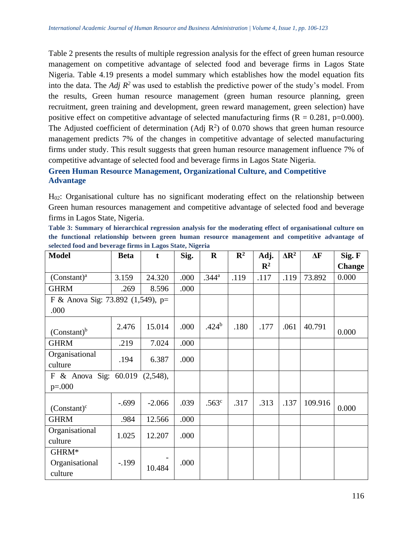Table 2 presents the results of multiple regression analysis for the effect of green human resource management on competitive advantage of selected food and beverage firms in Lagos State Nigeria. Table 4.19 presents a model summary which establishes how the model equation fits into the data. The *Adj R*<sup>2</sup> was used to establish the predictive power of the study's model. From the results, Green human resource management (green human resource planning, green recruitment, green training and development, green reward management, green selection) have positive effect on competitive advantage of selected manufacturing firms  $(R = 0.281, p=0.000)$ . The Adjusted coefficient of determination (Adj  $\mathbb{R}^2$ ) of 0.070 shows that green human resource management predicts 7% of the changes in competitive advantage of selected manufacturing firms under study. This result suggests that green human resource management influence 7% of competitive advantage of selected food and beverage firms in Lagos State Nigeria.

# **Green Human Resource Management, Organizational Culture, and Competitive Advantage**

H<sub>02</sub>: Organisational culture has no significant moderating effect on the relationship between Green human resources management and competitive advantage of selected food and beverage firms in Lagos State, Nigeria.

| Table 3: Summary of hierarchical regression analysis for the moderating effect of organisational culture on |  |  |                                             |  |  |  |  |  |  |  |
|-------------------------------------------------------------------------------------------------------------|--|--|---------------------------------------------|--|--|--|--|--|--|--|
| the functional relationship between green human resource management and competitive advantage of            |  |  |                                             |  |  |  |  |  |  |  |
| selected food and beverage firms in Lagos State, Nigeria                                                    |  |  |                                             |  |  |  |  |  |  |  |
|                                                                                                             |  |  | the company's company's company's company's |  |  |  |  |  |  |  |

| <b>Model</b>                           | <b>Beta</b> | t        | Sig. | $\mathbf R$       | $\mathbb{R}^2$ | Adj.           | $\Delta$ R <sup>2</sup> | $\Delta F$ | Sig. F        |
|----------------------------------------|-------------|----------|------|-------------------|----------------|----------------|-------------------------|------------|---------------|
|                                        |             |          |      |                   |                | $\mathbf{R}^2$ |                         |            | <b>Change</b> |
| $(Constant)^a$                         | 3.159       | 24.320   | .000 | .344 <sup>a</sup> | .119           | .117           | .119                    | 73.892     | 0.000         |
| <b>GHRM</b>                            | .269        | 8.596    | .000 |                   |                |                |                         |            |               |
| F & Anova Sig: 73.892 (1,549), p=      |             |          |      |                   |                |                |                         |            |               |
| .000                                   |             |          |      |                   |                |                |                         |            |               |
| $(Constant)^b$                         | 2.476       | 15.014   | .000 | .424 <sup>b</sup> | .180           | .177           | .061                    | 40.791     | 0.000         |
| <b>GHRM</b>                            | .219        | 7.024    | .000 |                   |                |                |                         |            |               |
| Organisational<br>culture              | .194        | 6.387    | .000 |                   |                |                |                         |            |               |
| F & Anova Sig: $60.019$<br>$(2,548)$ , |             |          |      |                   |                |                |                         |            |               |
| $p=.000$                               |             |          |      |                   |                |                |                         |            |               |
| $(Constant)^c$                         | $-.699$     | $-2.066$ | .039 | .563 <sup>c</sup> | .317           | .313           | .137                    | 109.916    | 0.000         |
| <b>GHRM</b>                            | .984        | 12.566   | .000 |                   |                |                |                         |            |               |
| Organisational                         | 1.025       | 12.207   | .000 |                   |                |                |                         |            |               |
| culture                                |             |          |      |                   |                |                |                         |            |               |
| GHRM*                                  |             |          |      |                   |                |                |                         |            |               |
| Organisational                         | $-199$      | 10.484   | .000 |                   |                |                |                         |            |               |
| culture                                |             |          |      |                   |                |                |                         |            |               |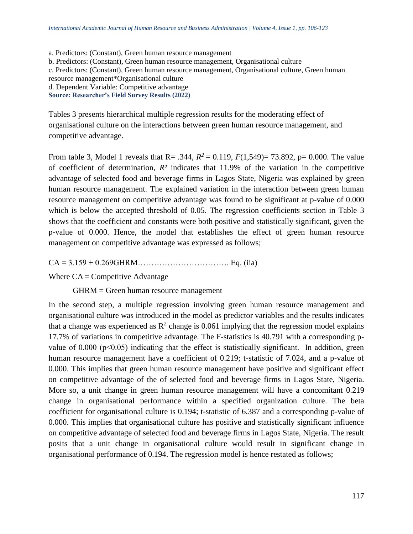a. Predictors: (Constant), Green human resource management b. Predictors: (Constant), Green human resource management, Organisational culture c. Predictors: (Constant), Green human resource management, Organisational culture, Green human resource management\*Organisational culture d. Dependent Variable: Competitive advantage **Source: Researcher's Field Survey Results (2022)**

Tables 3 presents hierarchical multiple regression results for the moderating effect of organisational culture on the interactions between green human resource management, and competitive advantage.

From table 3, Model 1 reveals that R= .344,  $R^2 = 0.119$ ,  $F(1,549) = 73.892$ , p= 0.000. The value of coefficient of determination,  $R^2$  indicates that 11.9% of the variation in the competitive advantage of selected food and beverage firms in Lagos State, Nigeria was explained by green human resource management. The explained variation in the interaction between green human resource management on competitive advantage was found to be significant at p-value of 0.000 which is below the accepted threshold of 0.05. The regression coefficients section in Table 3 shows that the coefficient and constants were both positive and statistically significant, given the p-value of 0.000. Hence, the model that establishes the effect of green human resource management on competitive advantage was expressed as follows;

CA = 3.159 + 0.269GHRM……………………………. Eq. (iia)

Where  $CA =$  Competitive Advantage

GHRM = Green human resource management

In the second step, a multiple regression involving green human resource management and organisational culture was introduced in the model as predictor variables and the results indicates that a change was experienced as  $R^2$  change is 0.061 implying that the regression model explains 17.7% of variations in competitive advantage. The F-statistics is 40.791 with a corresponding pvalue of  $0.000$  ( $p<0.05$ ) indicating that the effect is statistically significant. In addition, green human resource management have a coefficient of 0.219; t-statistic of 7.024, and a p-value of 0.000. This implies that green human resource management have positive and significant effect on competitive advantage of the of selected food and beverage firms in Lagos State, Nigeria. More so, a unit change in green human resource management will have a concomitant 0.219 change in organisational performance within a specified organization culture. The beta coefficient for organisational culture is 0.194; t-statistic of 6.387 and a corresponding p-value of 0.000. This implies that organisational culture has positive and statistically significant influence on competitive advantage of selected food and beverage firms in Lagos State, Nigeria. The result posits that a unit change in organisational culture would result in significant change in organisational performance of 0.194. The regression model is hence restated as follows;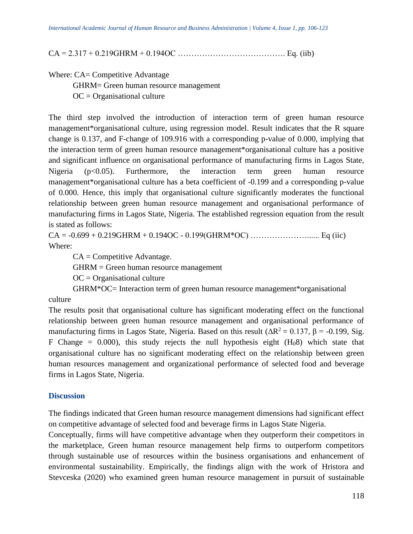CA = 2.317 + 0.219GHRM + 0.194OC …………………………………. Eq. (iib)

Where: CA= Competitive Advantage

GHRM= Green human resource management

 $OC = Organizational$  culture

The third step involved the introduction of interaction term of green human resource management\*organisational culture, using regression model. Result indicates that the R square change is 0.137, and F-change of 109.916 with a corresponding p-value of 0.000, implying that the interaction term of green human resource management\*organisational culture has a positive and significant influence on organisational performance of manufacturing firms in Lagos State, Nigeria  $(p<0.05)$ . Furthermore, the interaction term green human resource management\*organisational culture has a beta coefficient of -0.199 and a corresponding p-value of 0.000. Hence, this imply that organisational culture significantly moderates the functional relationship between green human resource management and organisational performance of manufacturing firms in Lagos State, Nigeria. The established regression equation from the result is stated as follows:

 $CA = -0.699 + 0.219 \text{GHRM} + 0.194 \text{OC} - 0.199 (\text{GHRM}^* \text{OC}) \dots \dots \dots \dots \dots \dots \dots \dots \text{Eq (iic)}$ Where:

 $CA =$ Competitive Advantage.

GHRM = Green human resource management

 $OC = Organizational$  culture

GHRM\*OC= Interaction term of green human resource management\*organisational

culture

The results posit that organisational culture has significant moderating effect on the functional relationship between green human resource management and organisational performance of manufacturing firms in Lagos State, Nigeria. Based on this result ( $\Delta R^2 = 0.137$ ,  $\beta = -0.199$ , Sig. F Change =  $0.000$ , this study rejects the null hypothesis eight  $(H<sub>0</sub>8)$  which state that organisational culture has no significant moderating effect on the relationship between green human resources management and organizational performance of selected food and beverage firms in Lagos State, Nigeria.

#### **Discussion**

The findings indicated that Green human resource management dimensions had significant effect on competitive advantage of selected food and beverage firms in Lagos State Nigeria.

Conceptually, firms will have competitive advantage when they outperform their competitors in the marketplace, Green human resource management help firms to outperform competitors through sustainable use of resources within the business organisations and enhancement of environmental sustainability. Empirically, the findings align with the work of Hristora and Stevceska (2020) who examined green human resource management in pursuit of sustainable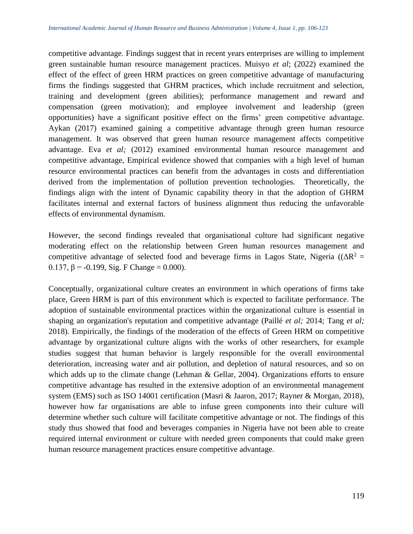competitive advantage. Findings suggest that in recent years enterprises are willing to implement green sustainable human resource management practices. Muisyo *et al*; (2022) examined the effect of the effect of green HRM practices on green competitive advantage of manufacturing firms the findings suggested that GHRM practices, which include recruitment and selection, training and development (green abilities); performance management and reward and compensation (green motivation); and employee involvement and leadership (green opportunities) have a significant positive effect on the firms' green competitive advantage. Aykan (2017) examined gaining a competitive advantage through green human resource management. It was observed that green human resource management affects competitive advantage. Eva *et al;* (2012) examined environmental human resource management and competitive advantage, Empirical evidence showed that companies with a high level of human resource environmental practices can benefit from the advantages in costs and differentiation derived from the implementation of pollution prevention technologies. Theoretically, the findings align with the intent of Dynamic capability theory in that the adoption of GHRM facilitates internal and external factors of business alignment thus reducing the unfavorable effects of environmental dynamism.

However, the second findings revealed that organisational culture had significant negative moderating effect on the relationship between Green human resources management and competitive advantage of selected food and beverage firms in Lagos State, Nigeria ( $(\Delta R^2 =$ 0.137,  $β = -0.199$ , Sig. F Change = 0.000).

Conceptually, organizational culture creates an environment in which operations of firms take place, Green HRM is part of this environment which is expected to facilitate performance. The adoption of sustainable environmental practices within the organizational culture is essential in shaping an organization's reputation and competitive advantage (Paillé *et al;* 2014; Tang *et al;* 2018). Empirically, the findings of the moderation of the effects of Green HRM on competitive advantage by organizational culture aligns with the works of other researchers, for example studies suggest that human behavior is largely responsible for the overall environmental deterioration, increasing water and air pollution, and depletion of natural resources, and so on which adds up to the climate change (Lehman & Gellar, 2004). Organizations efforts to ensure competitive advantage has resulted in the extensive adoption of an environmental management system (EMS) such as ISO 14001 certification (Masri & Jaaron, 2017; Rayner & Morgan, 2018), however how far organisations are able to infuse green components into their culture will determine whether such culture will facilitate competitive advantage or not. The findings of this study thus showed that food and beverages companies in Nigeria have not been able to create required internal environment or culture with needed green components that could make green human resource management practices ensure competitive advantage.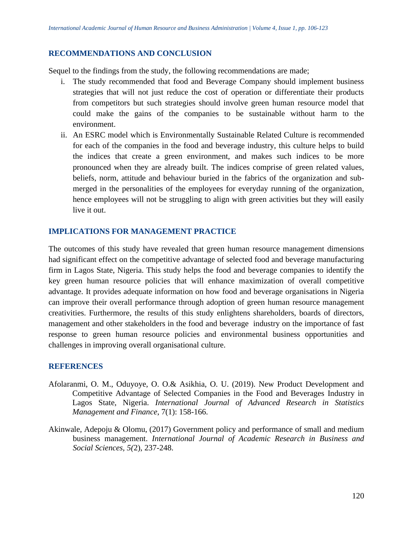## **RECOMMENDATIONS AND CONCLUSION**

Sequel to the findings from the study, the following recommendations are made;

- The study recommended that food and Beverage Company should implement business strategies that will not just reduce the cost of operation or differentiate their products from competitors but such strategies should involve green human resource model that could make the gains of the companies to be sustainable without harm to the environment.
- ii. An ESRC model which is Environmentally Sustainable Related Culture is recommended for each of the companies in the food and beverage industry, this culture helps to build the indices that create a green environment, and makes such indices to be more pronounced when they are already built. The indices comprise of green related values, beliefs, norm, attitude and behaviour buried in the fabrics of the organization and submerged in the personalities of the employees for everyday running of the organization, hence employees will not be struggling to align with green activities but they will easily live it out.

# **IMPLICATIONS FOR MANAGEMENT PRACTICE**

The outcomes of this study have revealed that green human resource management dimensions had significant effect on the competitive advantage of selected food and beverage manufacturing firm in Lagos State, Nigeria. This study helps the food and beverage companies to identify the key green human resource policies that will enhance maximization of overall competitive advantage. It provides adequate information on how food and beverage organisations in Nigeria can improve their overall performance through adoption of green human resource management creativities. Furthermore, the results of this study enlightens shareholders, boards of directors, management and other stakeholders in the food and beverage industry on the importance of fast response to green human resource policies and environmental business opportunities and challenges in improving overall organisational culture.

#### **REFERENCES**

- Afolaranmi, O. M., Oduyoye, O. O.& Asikhia, O. U. (2019). New Product Development and Competitive Advantage of Selected Companies in the Food and Beverages Industry in Lagos State, Nigeria. *International Journal of Advanced Research in Statistics Management and Finance*, 7(1): 158-166.
- Akinwale, Adepoju & Olomu, (2017) Government policy and performance of small and medium business management. *International Journal of Academic Research in Business and Social Sciences, 5(*2), 237-248.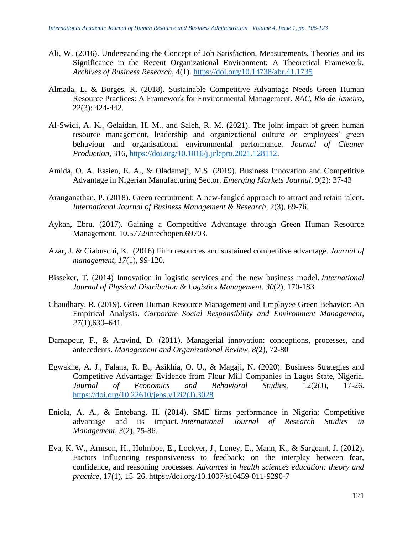- Ali, W. (2016). Understanding the Concept of Job Satisfaction, Measurements, Theories and its Significance in the Recent Organizational Environment: A Theoretical Framework. *Archives of Business Research*, 4(1).<https://doi.org/10.14738/abr.41.1735>
- Almada, L. & Borges, R. (2018). Sustainable Competitive Advantage Needs Green Human Resource Practices: A Framework for Environmental Management. *RAC, Rio de Janeiro*, 22(3): 424-442.
- Al-Swidi, A. K., Gelaidan, H. M., and Saleh, R. M. (2021). The joint impact of green human resource management, leadership and organizational culture on employees' green behaviour and organisational environmental performance. *Journal of Cleaner Production*, 316, [https://doi.org/10.1016/j.jclepro.2021.128112.](https://doi.org/10.1016/j.jclepro.2021.128112)
- Amida, O. A. Essien, E. A., & Olademeji, M.S. (2019). Business Innovation and Competitive Advantage in Nigerian Manufacturing Sector. *Emerging Markets Journal*, 9(2): 37-43
- Aranganathan, P. (2018). Green recruitment: A new-fangled approach to attract and retain talent. *International Journal of Business Management & Research*, 2(3), 69-76.
- Aykan, Ebru. (2017). Gaining a Competitive Advantage through Green Human Resource Management. 10.5772/intechopen.69703.
- Azar, J. & Ciabuschi, K. (2016) Firm resources and sustained competitive advantage. *Journal of management*, *17*(1), 99-120.
- Bisseker, T. (2014) Innovation in logistic services and the new business model. *International Journal of Physical Distribution & Logistics Management*. *30*(2), 170-183.
- Chaudhary, R. (2019). Green Human Resource Management and Employee Green Behavior: An Empirical Analysis. *Corporate Social Responsibility and Environment Management*, *27*(1),630–641.
- Damapour, F., & Aravind, D. (2011). Managerial innovation: conceptions, processes, and antecedents. *Management and Organizational Review, 8(*2), 72-80
- Egwakhe, A. J., Falana, R. B., Asikhia, O. U., & Magaji, N. (2020). Business Strategies and Competitive Advantage: Evidence from Flour Mill Companies in Lagos State, Nigeria. *Journal of Economics and Behavioral Studies*, 12(2(J), 17-26. [https://doi.org/10.22610/jebs.v12i2\(J\).3028](https://doi.org/10.22610/jebs.v12i2(J).3028)
- Eniola, A. A., & Entebang, H. (2014). SME firms performance in Nigeria: Competitive advantage and its impact. *International Journal of Research Studies in Management*, *3*(2), 75-86.
- Eva, K. W., Armson, H., Holmboe, E., Lockyer, J., Loney, E., Mann, K., & Sargeant, J. (2012). Factors influencing responsiveness to feedback: on the interplay between fear, confidence, and reasoning processes. *Advances in health sciences education: theory and practice*, 17(1), 15–26. https://doi.org/10.1007/s10459-011-9290-7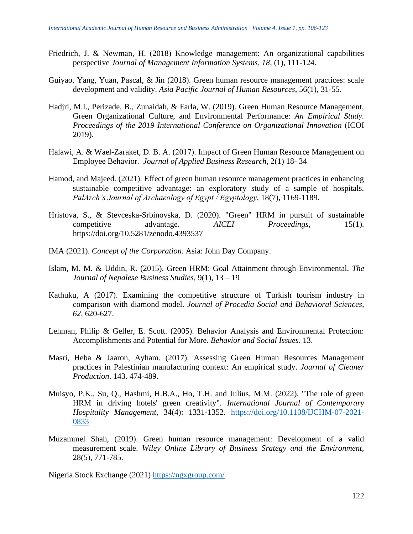- Friedrich, J. & Newman, H. (2018) Knowledge management: An organizational capabilities perspective *Journal of Management Information Systems, 18*, (1), 111-124.
- Guiyao, Yang, Yuan, Pascal, & Jin (2018). Green human resource management practices: scale development and validity. *Asia Pacific Journal of Human Resources*, 56(1), 31-55.
- Hadjri, M.I., Perizade, B., Zunaidah, & Farla, W. (2019). Green Human Resource Management, Green Organizational Culture, and Environmental Performance: *An Empirical Study. Proceedings of the 2019 International Conference on Organizational Innovation* (ICOI 2019).
- Halawi, A. & Wael-Zaraket, D. B. A. (2017). Impact of Green Human Resource Management on Employee Behavior. *Journal of Applied Business Research*, 2(1) 18- 34
- Hamod, and Majeed. (2021). Effect of green human resource management practices in enhancing sustainable competitive advantage: an exploratory study of a sample of hospitals. *PalArch's Journal of Archaeology of Egypt / Egyptology*, 18(7), 1169-1189.
- Hristova, S., & Stevceska-Srbinovska, D. (2020). "Green" HRM in pursuit of sustainable competitive advantage. *AICEI Proceedings*, 15(1). https://doi.org/10.5281/zenodo.4393537
- IMA (2021). *Concept of the Corporation*. Asia: John Day Company.
- Islam, M. M. & Uddin, R. (2015). Green HRM: Goal Attainment through Environmental. *The Journal of Nepalese Business Studies,* 9(1), 13 – 19
- Kathuku, A (2017). Examining the competitive structure of Turkish tourism industry in comparison with diamond model. *Journal of Procedia Social and Behavioral Sciences, 62,* 620-627.
- Lehman, Philip & Geller, E. Scott. (2005). Behavior Analysis and Environmental Protection: Accomplishments and Potential for More*. Behavior and Social Issues*. 13.
- Masri, Heba & Jaaron, Ayham. (2017). Assessing Green Human Resources Management practices in Palestinian manufacturing context: An empirical study. *Journal of Cleaner Production*. 143. 474-489.
- Muisyo, P.K., Su, Q., Hashmi, H.B.A., Ho, T.H. and Julius, M.M. (2022), "The role of green HRM in driving hotels' green creativity". *International Journal of Contemporary Hospitality Management*, 34(4): 1331-1352. [https://doi.org/10.1108/IJCHM-07-2021-](https://doi.org/10.1108/IJCHM-07-2021-0833) [0833](https://doi.org/10.1108/IJCHM-07-2021-0833)
- Muzammel Shah, (2019). Green human resource management: Development of a valid measurement scale. *Wiley Online Library of Business Srategy and the Environment,*  28(5), 771-785.

Nigeria Stock Exchange (2021)<https://ngxgroup.com/>